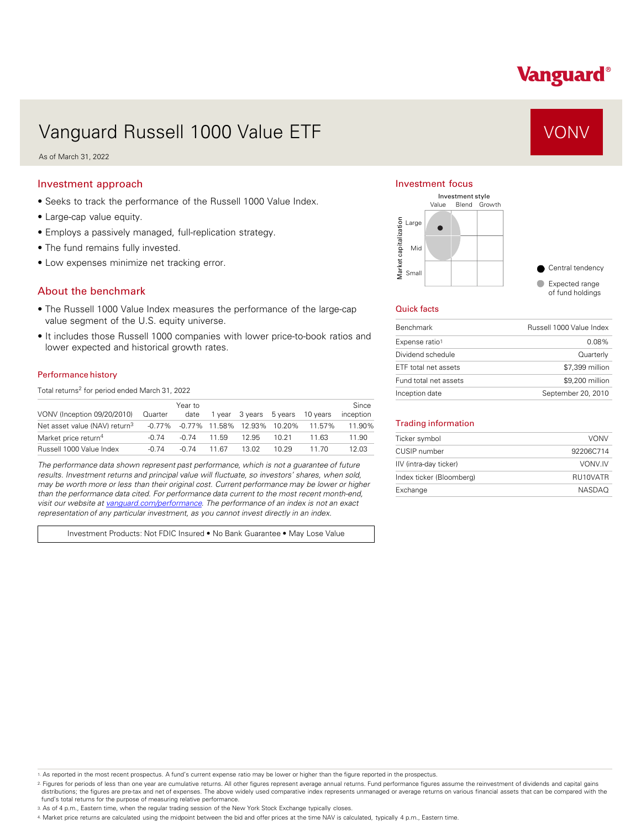# Vanguard®

# Vanguard Russell 1000 Value ETF VONV

As of March 31, 2022

### Investment approach

- Seeks to track the performance of the Russell 1000 Value Index.
- Large-cap value equity.
- Employs a passively managed, full-replication strategy.
- The fund remains fully invested.
- Low expenses minimize net tracking error.

## About the benchmark

- The Russell 1000 Value Index measures the performance of the large-cap value segment of the U.S. equity universe.
- It includes those Russell 1000 companies with lower price-to-book ratios and lower expected and historical growth rates.

#### Performance history

Total returns<sup>2</sup> for period ended March 31, 2022

| VONV (Inception 09/20/2010)               | Quarter   | Year to<br>date |       | 1 year 3 years 5 years         |       | 10 vears | Since<br>inception |
|-------------------------------------------|-----------|-----------------|-------|--------------------------------|-------|----------|--------------------|
| Net asset value (NAV) return <sup>3</sup> | $-0.77\%$ |                 |       | $-0.77\%$ 11.58% 12.93% 10.20% |       | 11.57%   | 11.90%             |
| Market price return <sup>4</sup>          | -0.74     | $-0.74$         | 11.59 | 12.95                          | 10 21 | 11 63    | 11.90              |
| Russell 1000 Value Index                  | $-0.74$   | $-0.74$         | 11 67 | 13.02                          | 10 29 | 11 70    | 12.03              |

*The performance data shown represent past performance, which is not a guarantee of future results. Investment returns and principal value will fluctuate, so investors' shares, when sold, may be worth more or less than their original cost. Current performance may be lower or higher than the performance data cited. For performance data current to the most recent month-end, visit our website at [vanguard.com/performance .](http://www.vanguard.com/performance) The performance of an index is not an exact representation of any particular investment, as you cannot invest directly in an index.* 

Investment Products: Not FDIC Insured • No Bank Guarantee • May Lose Value

### Investment focus



#### Quick facts

| <b>Benchmark</b>      | Russell 1000 Value Index |
|-----------------------|--------------------------|
| Expense ratio1        | $0.08\%$                 |
| Dividend schedule     | Quarterly                |
| ETF total net assets  | \$7,399 million          |
| Fund total net assets | \$9,200 million          |
| Inception date        | September 20, 2010       |

#### Trading information

| Ticker symbol            | <b>VONV</b>   |
|--------------------------|---------------|
| CUSIP number             | 92206C714     |
| IIV (intra-day ticker)   | VONV.IV       |
| Index ticker (Bloomberg) | RU10VATR      |
| Exchange                 | <b>NASDAO</b> |

1. As reported in the most recent prospectus. A fund's current expense ratio may be lower or higher than the figure reported in the prospectus.

2. Figures for periods of less than one year are cumulative returns. All other figures represent average annual returns. Fund performance figures assume the reinvestment of dividends and capital gains distributions; the figures are pre-tax and net of expenses. The above widely used comparative index represents unmanaged or average returns on various financial assets that can be compared with the fund's total returns for the purpose of measuring relative performance.

3. As of 4 p.m., Eastern time, when the regular trading session of the New York Stock Exchange typically closes.

4. Market price returns are calculated using the midpoint between the bid and offer prices at the time NAV is calculated, typically 4 p.m., Eastern time.